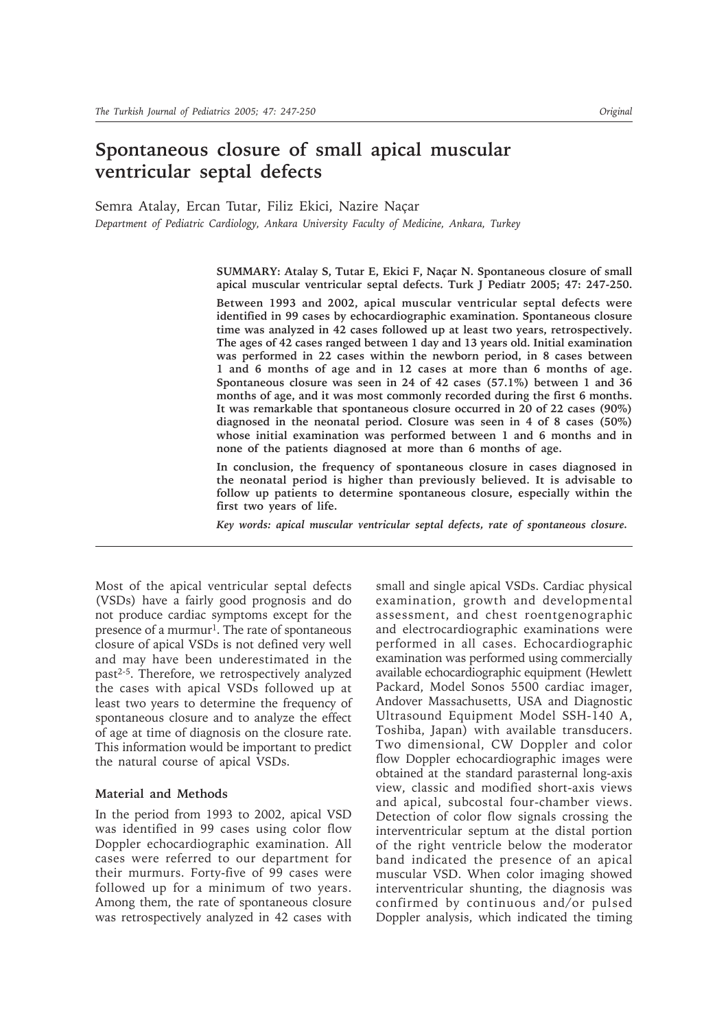# **Spontaneous closure of small apical muscular ventricular septal defects**

Semra Atalay, Ercan Tutar, Filiz Ekici, Nazire Naçar *Department of Pediatric Cardiology, Ankara University Faculty of Medicine, Ankara, Turkey*

> **SUMMARY: Atalay S, Tutar E, Ekici F, Naçar N. Spontaneous closure of small apical muscular ventricular septal defects. Turk J Pediatr 2005; 47: 247-250.**

> **Between 1993 and 2002, apical muscular ventricular septal defects were identified in 99 cases by echocardiographic examination. Spontaneous closure time was analyzed in 42 cases followed up at least two years, retrospectively. The ages of 42 cases ranged between 1 day and 13 years old. Initial examination was performed in 22 cases within the newborn period, in 8 cases between 1 and 6 months of age and in 12 cases at more than 6 months of age. Spontaneous closure was seen in 24 of 42 cases (57.1%) between 1 and 36 months of age, and it was most commonly recorded during the first 6 months. It was remarkable that spontaneous closure occurred in 20 of 22 cases (90%) diagnosed in the neonatal period. Closure was seen in 4 of 8 cases (50%) whose initial examination was performed between 1 and 6 months and in none of the patients diagnosed at more than 6 months of age.**

> **In conclusion, the frequency of spontaneous closure in cases diagnosed in the neonatal period is higher than previously believed. It is advisable to follow up patients to determine spontaneous closure, especially within the first two years of life.**

*Key words: apical muscular ventricular septal defects, rate of spontaneous closure.*

Most of the apical ventricular septal defects (VSDs) have a fairly good prognosis and do not produce cardiac symptoms except for the presence of a murmur<sup>1</sup>. The rate of spontaneous closure of apical VSDs is not defined very well and may have been underestimated in the past2-5. Therefore, we retrospectively analyzed the cases with apical VSDs followed up at least two years to determine the frequency of spontaneous closure and to analyze the effect of age at time of diagnosis on the closure rate. This information would be important to predict the natural course of apical VSDs.

## **Material and Methods**

In the period from 1993 to 2002, apical VSD was identified in 99 cases using color flow Doppler echocardiographic examination. All cases were referred to our department for their murmurs. Forty-five of 99 cases were followed up for a minimum of two years. Among them, the rate of spontaneous closure was retrospectively analyzed in 42 cases with small and single apical VSDs. Cardiac physical examination, growth and developmental assessment, and chest roentgenographic and electrocardiographic examinations were performed in all cases. Echocardiographic examination was performed using commercially available echocardiographic equipment (Hewlett Packard, Model Sonos 5500 cardiac imager, Andover Massachusetts, USA and Diagnostic Ultrasound Equipment Model SSH-140 A, Toshiba, Japan) with available transducers. Two dimensional, CW Doppler and color flow Doppler echocardiographic images were obtained at the standard parasternal long-axis view, classic and modified short-axis views and apical, subcostal four-chamber views. Detection of color flow signals crossing the interventricular septum at the distal portion of the right ventricle below the moderator band indicated the presence of an apical muscular VSD. When color imaging showed interventricular shunting, the diagnosis was confirmed by continuous and/or pulsed Doppler analysis, which indicated the timing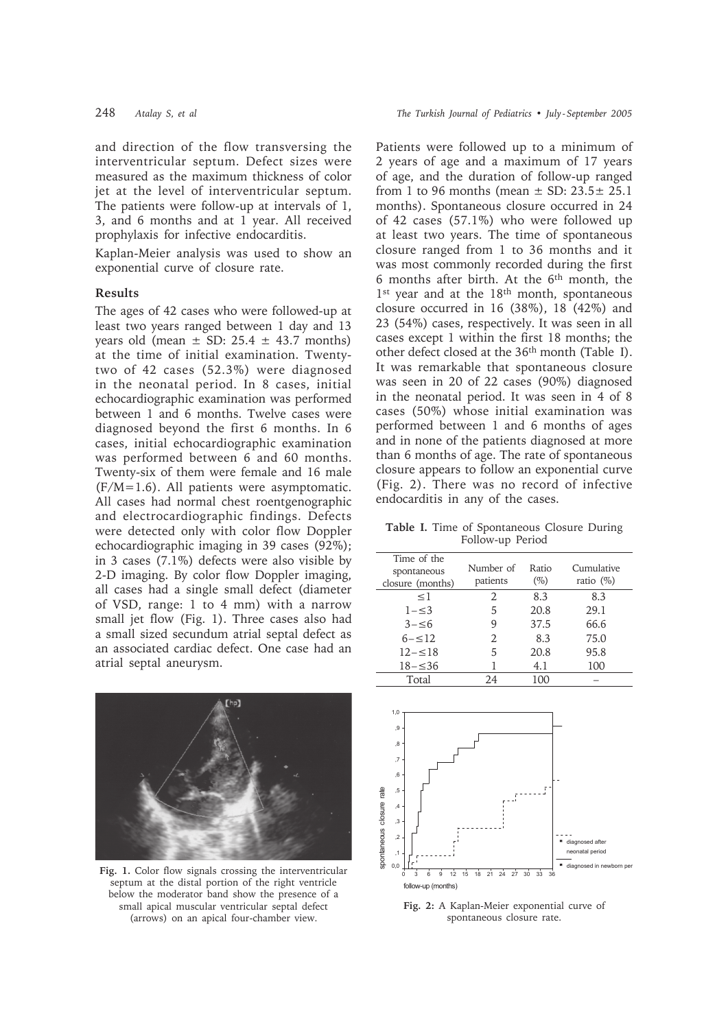and direction of the flow transversing the interventricular septum. Defect sizes were measured as the maximum thickness of color jet at the level of interventricular septum. The patients were follow-up at intervals of 1, 3, and 6 months and at 1 year. All received prophylaxis for infective endocarditis.

Kaplan-Meier analysis was used to show an exponential curve of closure rate.

### **Results**

The ages of 42 cases who were followed-up at least two years ranged between 1 day and 13 years old (mean  $\pm$  SD: 25.4  $\pm$  43.7 months) at the time of initial examination. Twentytwo of 42 cases (52.3%) were diagnosed in the neonatal period. In 8 cases, initial echocardiographic examination was performed between 1 and 6 months. Twelve cases were diagnosed beyond the first 6 months. In 6 cases, initial echocardiographic examination was performed between 6 and 60 months. Twenty-six of them were female and 16 male  $(F/M=1.6)$ . All patients were asymptomatic. All cases had normal chest roentgenographic and electrocardiographic findings. Defects were detected only with color flow Doppler echocardiographic imaging in 39 cases (92%); in 3 cases  $(7.1\%)$  defects were also visible by 2-D imaging. By color flow Doppler imaging, all cases had a single small defect (diameter of VSD, range: 1 to 4 mm) with a narrow small jet flow (Fig. 1). Three cases also had a small sized secundum atrial septal defect as an associated cardiac defect. One case had an atrial septal aneurysm.



Fig. 1. Color flow signals crossing the interventricular septum at the distal portion of the right ventricle below the moderator band show the presence of a small apical muscular ventricular septal defect (arrows) on an apical four-chamber view.

Patients were followed up to a minimum of 2 years of age and a maximum of 17 years of age, and the duration of follow-up ranged from 1 to 96 months (mean  $\pm$  SD: 23.5 $\pm$  25.1 months). Spontaneous closure occurred in 24 of 42 cases (57.1%) who were followed up at least two years. The time of spontaneous closure ranged from 1 to 36 months and it was most commonly recorded during the first 6 months after birth. At the 6<sup>th</sup> month, the 1<sup>st</sup> year and at the 18<sup>th</sup> month, spontaneous closure occurred in 16 (38%), 18 (42%) and 23 (54%) cases, respectively. It was seen in all cases except 1 within the first 18 months; the other defect closed at the 36<sup>th</sup> month (Table I). It was remarkable that spontaneous closure was seen in 20 of 22 cases (90%) diagnosed in the neonatal period. It was seen in 4 of 8 cases (50%) whose initial examination was performed between 1 and 6 months of ages and in none of the patients diagnosed at more than 6 months of age. The rate of spontaneous closure appears to follow an exponential curve (Fig. 2). There was no record of infective endocarditis in any of the cases.

Table I. Time of Spontaneous Closure During Follow-up Period

| Time of the<br>spontaneous<br>closure (months) | Number of<br>patients | Ratio<br>$(\%)$ | Cumulative<br>ratio $(\%)$ |
|------------------------------------------------|-----------------------|-----------------|----------------------------|
| <1                                             | 2                     | 8.3             | 8.3                        |
| $1 - \leq 3$                                   | 5                     | 20.8            | 29.1                       |
| $3 - 56$                                       | 9                     | 37.5            | 66.6                       |
| $6 - 12$                                       | 2                     | 8.3             | 75.0                       |
| $12 - \leq 18$                                 | 5                     | 20.8            | 95.8                       |
| $18 - \leq 36$                                 |                       | 4.1             | 100                        |
| Total                                          | 24                    | 100             |                            |



Fig. 2: A Kaplan-Meier exponential curve of spontaneous closure rate.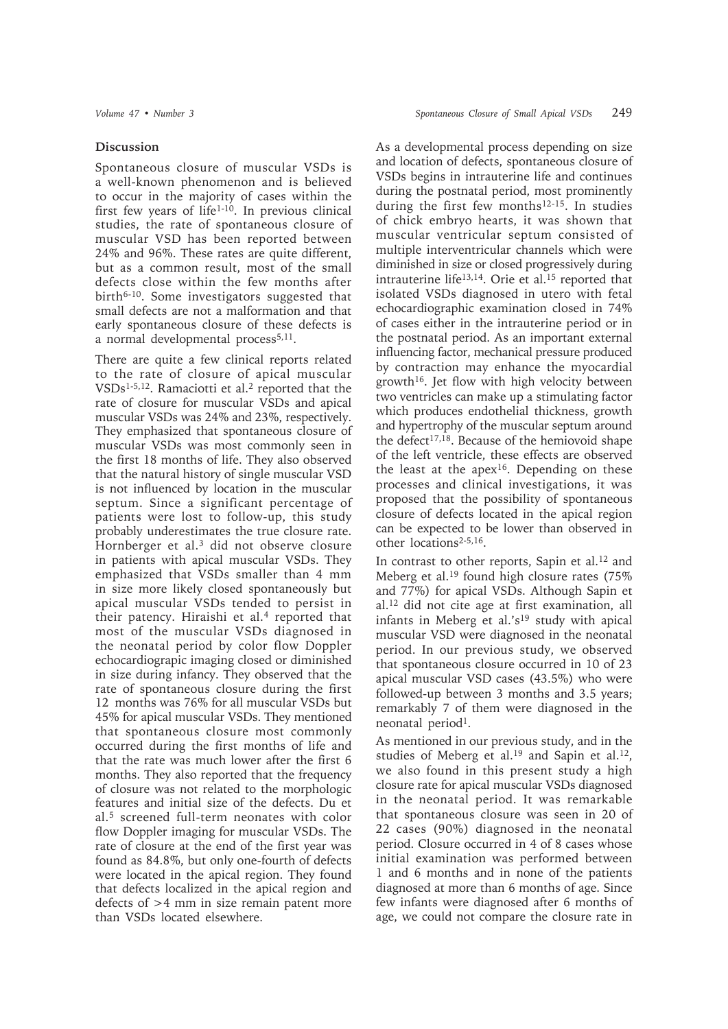# **Discussion**

Spontaneous closure of muscular VSDs is a well-known phenomenon and is believed to occur in the majority of cases within the first few years of life<sup>1-10</sup>. In previous clinical studies, the rate of spontaneous closure of muscular VSD has been reported between 24% and 96%. These rates are quite different, but as a common result, most of the small defects close within the few months after birth6-10. Some investigators suggested that small defects are not a malformation and that early spontaneous closure of these defects is a normal developmental process<sup>5,11</sup>.

There are quite a few clinical reports related to the rate of closure of apical muscular VSDs1-5,12. Ramaciotti et al.2 reported that the rate of closure for muscular VSDs and apical muscular VSDs was 24% and 23%, respectively. They emphasized that spontaneous closure of muscular VSDs was most commonly seen in the first 18 months of life. They also observed that the natural history of single muscular VSD is not influenced by location in the muscular septum. Since a significant percentage of patients were lost to follow-up, this study probably underestimates the true closure rate. Hornberger et al.3 did not observe closure in patients with apical muscular VSDs. They emphasized that VSDs smaller than 4 mm in size more likely closed spontaneously but apical muscular VSDs tended to persist in their patency. Hiraishi et al.<sup>4</sup> reported that most of the muscular VSDs diagnosed in the neonatal period by color flow Doppler echocardiograpic imaging closed or diminished in size during infancy. They observed that the rate of spontaneous closure during the first 12 months was 76% for all muscular VSDs but 45% for apical muscular VSDs. They mentioned that spontaneous closure most commonly occurred during the first months of life and that the rate was much lower after the first 6 months. They also reported that the frequency of closure was not related to the morphologic features and initial size of the defects. Du et al.5 screened full-term neonates with color flow Doppler imaging for muscular VSDs. The rate of closure at the end of the first year was found as 84.8%, but only one-fourth of defects were located in the apical region. They found that defects localized in the apical region and defects of >4 mm in size remain patent more than VSDs located elsewhere.

As a developmental process depending on size and location of defects, spontaneous closure of VSDs begins in intrauterine life and continues during the postnatal period, most prominently during the first few months<sup>12-15</sup>. In studies of chick embryo hearts, it was shown that muscular ventricular septum consisted of multiple interventricular channels which were diminished in size or closed progressively during intrauterine life13,14. Orie et al.15 reported that isolated VSDs diagnosed in utero with fetal echocardiographic examination closed in 74% of cases either in the intrauterine period or in the postnatal period. As an important external influencing factor, mechanical pressure produced by contraction may enhance the myocardial growth<sup>16</sup>. Jet flow with high velocity between two ventricles can make up a stimulating factor which produces endothelial thickness, growth and hypertrophy of the muscular septum around the defect<sup>17,18</sup>. Because of the hemiovoid shape of the left ventricle, these effects are observed the least at the apex<sup>16</sup>. Depending on these processes and clinical investigations, it was proposed that the possibility of spontaneous closure of defects located in the apical region can be expected to be lower than observed in other locations2-5,16.

In contrast to other reports, Sapin et al.12 and Meberg et al.19 found high closure rates (75% and 77%) for apical VSDs. Although Sapin et al.12 did not cite age at first examination, all infants in Meberg et al.'s<sup>19</sup> study with apical muscular VSD were diagnosed in the neonatal period. In our previous study, we observed that spontaneous closure occurred in 10 of 23 apical muscular VSD cases (43.5%) who were followed-up between 3 months and 3.5 years; remarkably 7 of them were diagnosed in the neonatal period<sup>1</sup>.

As mentioned in our previous study, and in the studies of Meberg et al.<sup>19</sup> and Sapin et al.<sup>12</sup>, we also found in this present study a high closure rate for apical muscular VSDs diagnosed in the neonatal period. It was remarkable that spontaneous closure was seen in 20 of 22 cases (90%) diagnosed in the neonatal period. Closure occurred in 4 of 8 cases whose initial examination was performed between 1 and 6 months and in none of the patients diagnosed at more than 6 months of age. Since few infants were diagnosed after 6 months of age, we could not compare the closure rate in